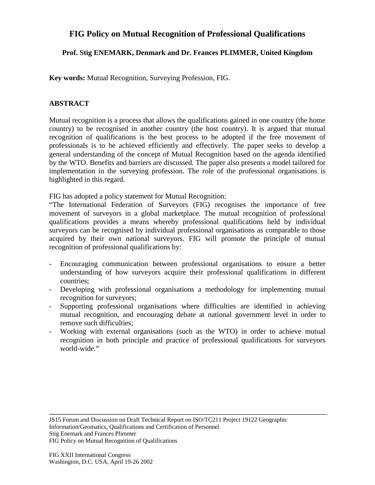## **FIG Policy on Mutual Recognition of Professional Qualifications**

## **Prof. Stig ENEMARK, Denmark and Dr. Frances PLIMMER, United Kingdom**

**Key words:** Mutual Recognition, Surveying Profession, FIG.

## **ABSTRACT**

Mutual recognition is a process that allows the qualifications gained in one country (the home country) to be recognised in another country (the host country). It is argued that mutual recognition of qualifications is the best process to be adopted if the free movement of professionals is to be achieved efficiently and effectively. The paper seeks to develop a general understanding of the concept of Mutual Recognition based on the agenda identified by the WTO. Benefits and barriers are discussed. The paper also presents a model tailored for implementation in the surveying profession. The role of the professional organisations is highlighted in this regard.

FIG has adopted a policy statement for Mutual Recognition:

"The International Federation of Surveyors (FIG) recognises the importance of free movement of surveyors in a global marketplace. The mutual recognition of professional qualifications provides a means whereby professional qualifications held by individual surveyors can be recognised by individual professional organisations as comparable to those acquired by their own national surveyors. FIG will promote the principle of mutual recognition of professional qualifications by:

- Encouraging communication between professional organisations to ensure a better understanding of how surveyors acquire their professional qualifications in different countries;
- Developing with professional organisations a methodology for implementing mutual recognition for surveyors;
- Supporting professional organisations where difficulties are identified in achieving mutual recognition, and encouraging debate at national government level in order to remove such difficulties;
- Working with external organisations (such as the WTO) in order to achieve mutual recognition in both principle and practice of professional qualifications for surveyors world-wide."

Stig Enemark and Frances Plimmer

FIG Policy on Mutual Recognition of Qualifications

JS15 Forum and Discussion on Draft Technical Report on ISO/TC211 Project 19122 Geographic Information/Geomatics, Qualifications and Certification of Personnel